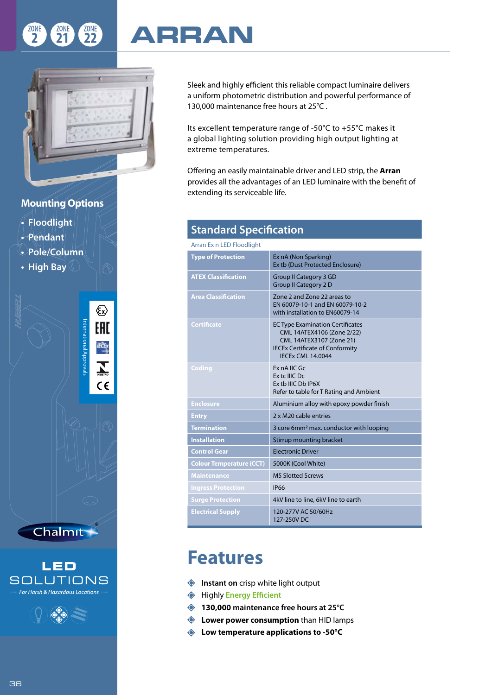

## **ARRAN**

Sleek and highly efficient this reliable compact luminaire delivers a uniform photometric distribution and powerful performance of 130,000 maintenance free hours at 25°C .

Its excellent temperature range of -50°C to +55°C makes it a global lighting solution providing high output lighting at extreme temperatures.

Offering an easily maintainable driver and LED strip, the **Arran** provides all the advantages of an LED luminaire with the benefit of extending its serviceable life.

| <b>Standard Specification</b>   |                                                                                                                                                                         |  |  |  |  |
|---------------------------------|-------------------------------------------------------------------------------------------------------------------------------------------------------------------------|--|--|--|--|
| Arran Ex n LED Floodlight       |                                                                                                                                                                         |  |  |  |  |
| <b>Type of Protection</b>       | Ex nA (Non Sparking)<br>Ex tb (Dust Protected Enclosure)                                                                                                                |  |  |  |  |
| <b>ATEX Classification</b>      | <b>Group II Category 3 GD</b><br><b>Group II Category 2 D</b>                                                                                                           |  |  |  |  |
| <b>Area Classification</b>      | Zone 2 and Zone 22 areas to<br>EN 60079-10-1 and EN 60079-10-2<br>with installation to EN60079-14                                                                       |  |  |  |  |
| <b>Certificate</b>              | <b>EC Type Examination Certificates</b><br>CML 14ATEX4106 (Zone 2/22)<br>CML 14ATEX3107 (Zone 21)<br><b>IECEx Certificate of Conformity</b><br><b>IECEX CML 14.0044</b> |  |  |  |  |
| Coding                          | Ex nA IIC Gc<br>Ex tc IIIC Dc<br>Ex tb IIIC Db IP6X<br>Refer to table for T Rating and Ambient                                                                          |  |  |  |  |
| Enclosure                       | Aluminium alloy with epoxy powder finish                                                                                                                                |  |  |  |  |
| <b>Entry</b>                    | 2 x M20 cable entries                                                                                                                                                   |  |  |  |  |
| <b>Termination</b>              | 3 core 6mm <sup>2</sup> max. conductor with looping                                                                                                                     |  |  |  |  |
| <b>Installation</b>             | Stirrup mounting bracket                                                                                                                                                |  |  |  |  |
| <b>Control Gear</b>             | <b>Electronic Driver</b>                                                                                                                                                |  |  |  |  |
| <b>Colour Temperature (CCT)</b> | 5000K (Cool White)                                                                                                                                                      |  |  |  |  |
| <b>Maintenance</b>              | <b>M5 Slotted Screws</b>                                                                                                                                                |  |  |  |  |
| <b>Ingress Protection</b>       | <b>IP66</b>                                                                                                                                                             |  |  |  |  |
| <b>Surge Protection</b>         | 4kV line to line, 6kV line to earth                                                                                                                                     |  |  |  |  |
| <b>Electrical Supply</b>        | 120-277V AC 50/60Hz<br>127-250V DC                                                                                                                                      |  |  |  |  |

## **Features**

- **Instant on** crisp white light output
- Highly **Energy Efficient**
- **130,000 maintenance free hours at 25°C**
- **Example 2 Lower power consumption** than HID lamps
- **Low temperature applications to -50°C**

## **Mounting Options**

- **Floodlight**
- **Pendant**
- **Pole/Column**
- **High Bay**